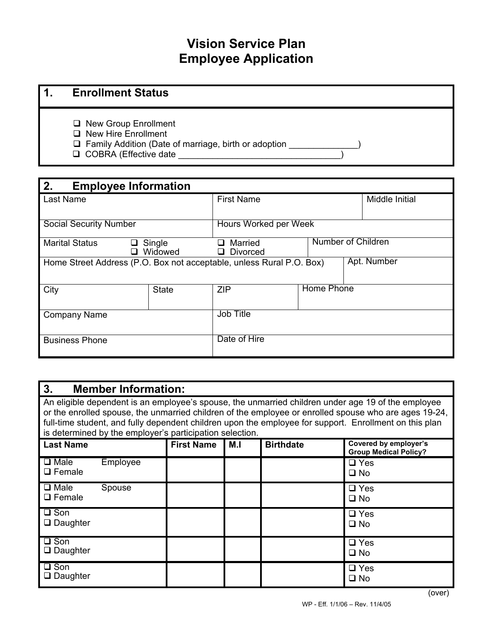# **Vision Service Plan Employee Application**

## **1. Enrollment Status**

- □ New Group Enrollment
- □ New Hire Enrollment
- Family Addition (Date of marriage, birth or adoption \_\_\_\_\_\_\_\_\_\_\_\_\_\_)
- □ COBRA (Effective date

| 2.<br><b>Employee Information</b>                                                   |                   |                                                  |                   |                |  |  |  |
|-------------------------------------------------------------------------------------|-------------------|--------------------------------------------------|-------------------|----------------|--|--|--|
| Last Name                                                                           |                   | <b>First Name</b>                                |                   | Middle Initial |  |  |  |
| <b>Social Security Number</b>                                                       |                   | Hours Worked per Week                            |                   |                |  |  |  |
| <b>Marital Status</b><br>П                                                          | Single<br>Widowed | Number of Children<br>Married<br><b>Divorced</b> |                   |                |  |  |  |
| Apt. Number<br>Home Street Address (P.O. Box not acceptable, unless Rural P.O. Box) |                   |                                                  |                   |                |  |  |  |
| City                                                                                | <b>State</b>      | <b>ZIP</b>                                       | <b>Home Phone</b> |                |  |  |  |
| <b>Company Name</b>                                                                 |                   | Job Title                                        |                   |                |  |  |  |
| <b>Business Phone</b>                                                               |                   | Date of Hire                                     |                   |                |  |  |  |

#### **3. Member Information:**

An eligible dependent is an employee's spouse, the unmarried children under age 19 of the employee or the enrolled spouse, the unmarried children of the employee or enrolled spouse who are ages 19-24, full-time student, and fully dependent children upon the employee for support. Enrollment on this plan is determined by the employer's participation selection.

| <b>Last Name</b>                 |          | <b>First Name</b> | M.I | <b>Birthdate</b> | Covered by employer's<br><b>Group Medical Policy?</b> |
|----------------------------------|----------|-------------------|-----|------------------|-------------------------------------------------------|
| $\Box$ Male<br>$\Box$ Female     | Employee |                   |     |                  | $\Box$ Yes<br>$\square$ No                            |
| $\Box$ Male<br>$\Box$ Female     | Spouse   |                   |     |                  | $\Box$ Yes<br>$\square$ No                            |
| $\square$ Son<br>$\Box$ Daughter |          |                   |     |                  | $\Box$ Yes<br>$\square$ No                            |
| $\Box$ Son<br>$\Box$ Daughter    |          |                   |     |                  | $\Box$ Yes<br>$\square$ No                            |
| $\square$ Son<br>$\Box$ Daughter |          |                   |     |                  | $\square$ Yes<br>$\square$ No                         |

(over)